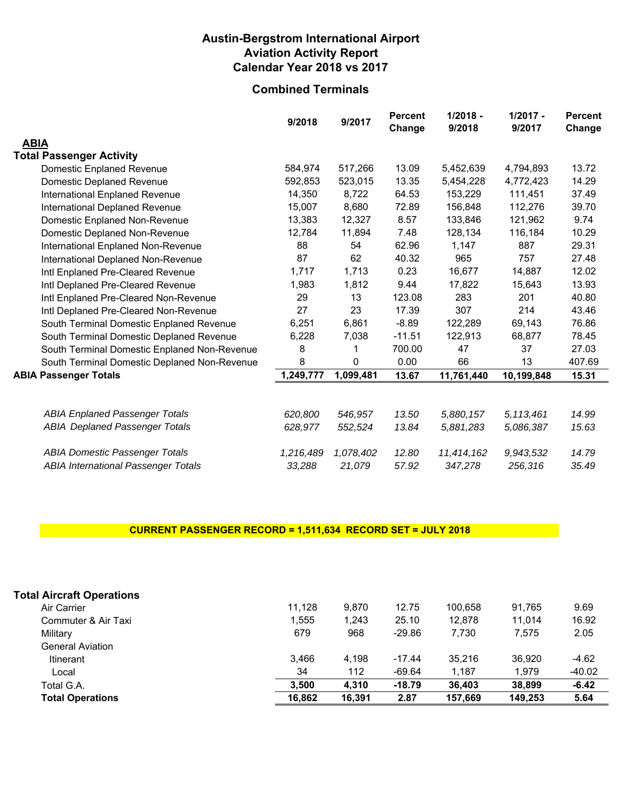#### **Austin-Bergstrom International Airport Aviation Activity Report Calendar Year 2018 vs 2017**

### **Combined Terminals**

|                                              | 9/2018    | 9/2017    | <b>Percent</b><br>Change | $1/2018 -$<br>9/2018 | $1/2017 -$<br>9/2017 | <b>Percent</b><br>Change |
|----------------------------------------------|-----------|-----------|--------------------------|----------------------|----------------------|--------------------------|
| <b>ABIA</b>                                  |           |           |                          |                      |                      |                          |
| <b>Total Passenger Activity</b>              |           |           |                          |                      |                      |                          |
| <b>Domestic Enplaned Revenue</b>             | 584,974   | 517,266   | 13.09                    | 5,452,639            | 4,794,893            | 13.72                    |
| <b>Domestic Deplaned Revenue</b>             | 592,853   | 523,015   | 13.35                    | 5,454,228            | 4,772,423            | 14.29                    |
| International Enplaned Revenue               | 14,350    | 8,722     | 64.53                    | 153,229              | 111,451              | 37.49                    |
| International Deplaned Revenue               | 15,007    | 8,680     | 72.89                    | 156,848              | 112,276              | 39.70                    |
| Domestic Enplaned Non-Revenue                | 13,383    | 12,327    | 8.57                     | 133,846              | 121,962              | 9.74                     |
| Domestic Deplaned Non-Revenue                | 12,784    | 11,894    | 7.48                     | 128,134              | 116,184              | 10.29                    |
| International Enplaned Non-Revenue           | 88        | 54        | 62.96                    | 1,147                | 887                  | 29.31                    |
| International Deplaned Non-Revenue           | 87        | 62        | 40.32                    | 965                  | 757                  | 27.48                    |
| Intl Enplaned Pre-Cleared Revenue            | 1,717     | 1,713     | 0.23                     | 16,677               | 14,887               | 12.02                    |
| Intl Deplaned Pre-Cleared Revenue            | 1,983     | 1,812     | 9.44                     | 17,822               | 15,643               | 13.93                    |
| Intl Enplaned Pre-Cleared Non-Revenue        | 29        | 13        | 123.08                   | 283                  | 201                  | 40.80                    |
| Intl Deplaned Pre-Cleared Non-Revenue        | 27        | 23        | 17.39                    | 307                  | 214                  | 43.46                    |
| South Terminal Domestic Enplaned Revenue     | 6,251     | 6,861     | $-8.89$                  | 122,289              | 69,143               | 76.86                    |
| South Terminal Domestic Deplaned Revenue     | 6,228     | 7,038     | $-11.51$                 | 122,913              | 68,877               | 78.45                    |
| South Terminal Domestic Enplaned Non-Revenue | 8         |           | 700.00                   | 47                   | 37                   | 27.03                    |
| South Terminal Domestic Deplaned Non-Revenue | 8         | 0         | 0.00                     | 66                   | 13                   | 407.69                   |
| <b>ABIA Passenger Totals</b>                 | 1,249,777 | 1,099,481 | 13.67                    | 11,761,440           | 10,199,848           | 15.31                    |
|                                              |           |           |                          |                      |                      |                          |
| <b>ABIA Enplaned Passenger Totals</b>        | 620.800   | 546.957   | 13.50                    | 5,880,157            | 5, 113, 461          | 14.99                    |
| <b>ABIA Deplaned Passenger Totals</b>        | 628,977   | 552,524   | 13.84                    | 5,881,283            | 5,086,387            | 15.63                    |
| <b>ABIA Domestic Passenger Totals</b>        | 1,216,489 | 1,078,402 | 12.80                    | 11,414,162           | 9,943,532            | 14.79                    |
| <b>ABIA International Passenger Totals</b>   | 33,288    | 21,079    | 57.92                    | 347,278              | 256,316              | 35.49                    |

#### **CURRENT PASSENGER RECORD = 1,511,634 RECORD SET = JULY 2018**

| <b>Total Aircraft Operations</b> |        |        |          |         |         |         |
|----------------------------------|--------|--------|----------|---------|---------|---------|
| Air Carrier                      | 11.128 | 9.870  | 12.75    | 100.658 | 91.765  | 9.69    |
| Commuter & Air Taxi              | 1.555  | 1.243  | 25.10    | 12.878  | 11.014  | 16.92   |
| Military                         | 679    | 968    | $-29.86$ | 7.730   | 7.575   | 2.05    |
| <b>General Aviation</b>          |        |        |          |         |         |         |
| <b>Itinerant</b>                 | 3.466  | 4.198  | $-17.44$ | 35.216  | 36.920  | $-4.62$ |
| Local                            | 34     | 112    | $-69.64$ | 1.187   | 1.979   | -40.02  |
| Total G.A.                       | 3,500  | 4,310  | $-18.79$ | 36,403  | 38,899  | $-6.42$ |
| <b>Total Operations</b>          | 16.862 | 16,391 | 2.87     | 157,669 | 149.253 | 5.64    |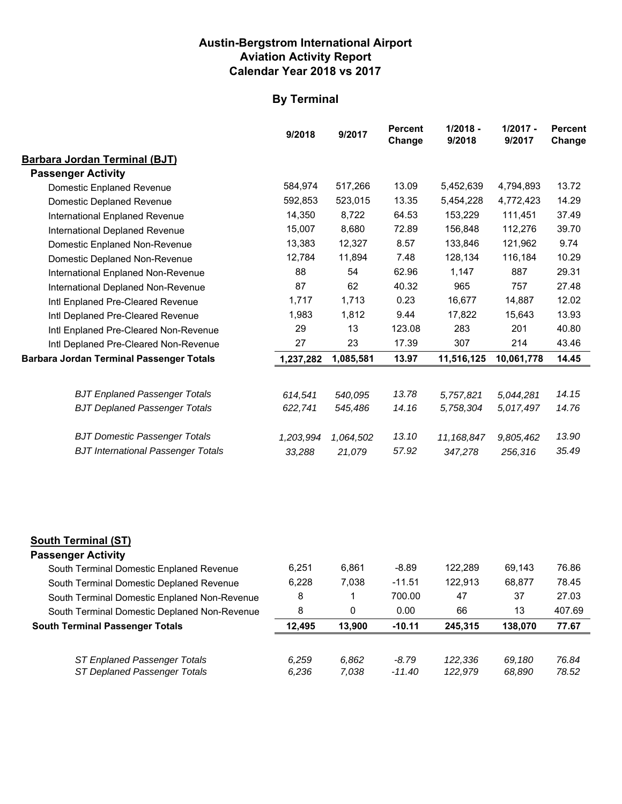#### **Austin-Bergstrom International Airport Aviation Activity Report Calendar Year 2018 vs 2017**

# **By Terminal**

|                                                 | 9/2018    | 9/2017    | <b>Percent</b><br>Change | $1/2018 -$<br>9/2018 | $1/2017 -$<br>9/2017 | <b>Percent</b><br>Change |
|-------------------------------------------------|-----------|-----------|--------------------------|----------------------|----------------------|--------------------------|
| <b>Barbara Jordan Terminal (BJT)</b>            |           |           |                          |                      |                      |                          |
| <b>Passenger Activity</b>                       |           |           |                          |                      |                      |                          |
| <b>Domestic Enplaned Revenue</b>                | 584,974   | 517,266   | 13.09                    | 5,452,639            | 4,794,893            | 13.72                    |
| Domestic Deplaned Revenue                       | 592,853   | 523,015   | 13.35                    | 5,454,228            | 4,772,423            | 14.29                    |
| International Enplaned Revenue                  | 14,350    | 8,722     | 64.53                    | 153,229              | 111,451              | 37.49                    |
| International Deplaned Revenue                  | 15,007    | 8,680     | 72.89                    | 156,848              | 112,276              | 39.70                    |
| Domestic Enplaned Non-Revenue                   | 13,383    | 12,327    | 8.57                     | 133,846              | 121,962              | 9.74                     |
| Domestic Deplaned Non-Revenue                   | 12,784    | 11,894    | 7.48                     | 128,134              | 116,184              | 10.29                    |
| International Enplaned Non-Revenue              | 88        | 54        | 62.96                    | 1,147                | 887                  | 29.31                    |
| International Deplaned Non-Revenue              | 87        | 62        | 40.32                    | 965                  | 757                  | 27.48                    |
| Intl Enplaned Pre-Cleared Revenue               | 1,717     | 1,713     | 0.23                     | 16,677               | 14,887               | 12.02                    |
| Intl Deplaned Pre-Cleared Revenue               | 1,983     | 1,812     | 9.44                     | 17,822               | 15,643               | 13.93                    |
| Intl Enplaned Pre-Cleared Non-Revenue           | 29        | 13        | 123.08                   | 283                  | 201                  | 40.80                    |
| Intl Deplaned Pre-Cleared Non-Revenue           | 27        | 23        | 17.39                    | 307                  | 214                  | 43.46                    |
| <b>Barbara Jordan Terminal Passenger Totals</b> | 1,237,282 | 1,085,581 | 13.97                    | 11,516,125           | 10,061,778           | 14.45                    |
|                                                 |           |           |                          |                      |                      |                          |
| <b>BJT Enplaned Passenger Totals</b>            | 614,541   | 540,095   | 13.78                    | 5,757,821            | 5,044,281            | 14.15                    |
| <b>BJT Deplaned Passenger Totals</b>            | 622,741   | 545,486   | 14.16                    | 5,758,304            | 5,017,497            | 14.76                    |
| <b>BJT Domestic Passenger Totals</b>            | 1,203,994 | 1,064,502 | 13.10                    | 11,168,847           | 9,805,462            | 13.90                    |
| <b>BJT International Passenger Totals</b>       | 33,288    | 21,079    | 57.92                    | 347,278              | 256,316              | 35.49                    |

#### **South Terminal (ST)**

| <b>Passenger Activity</b>                                    |                |                |                     |                    |                  |                |
|--------------------------------------------------------------|----------------|----------------|---------------------|--------------------|------------------|----------------|
| South Terminal Domestic Enplaned Revenue                     | 6.251          | 6.861          | $-8.89$             | 122.289            | 69.143           | 76.86          |
| South Terminal Domestic Deplaned Revenue                     | 6,228          | 7,038          | $-11.51$            | 122.913            | 68.877           | 78.45          |
| South Terminal Domestic Enplaned Non-Revenue                 | 8              |                | 700.00              | 47                 | 37               | 27.03          |
| South Terminal Domestic Deplaned Non-Revenue                 | 8              | 0              | 0.00                | 66                 | 13               | 407.69         |
|                                                              |                |                |                     |                    |                  |                |
| <b>South Terminal Passenger Totals</b>                       | 12.495         | 13.900         | $-10.11$            | 245.315            | 138.070          | 77.67          |
| ST Enplaned Passenger Totals<br>ST Deplaned Passenger Totals | 6.259<br>6.236 | 6.862<br>7.038 | $-8.79$<br>$-11.40$ | 122.336<br>122,979 | 69.180<br>68,890 | 76.84<br>78.52 |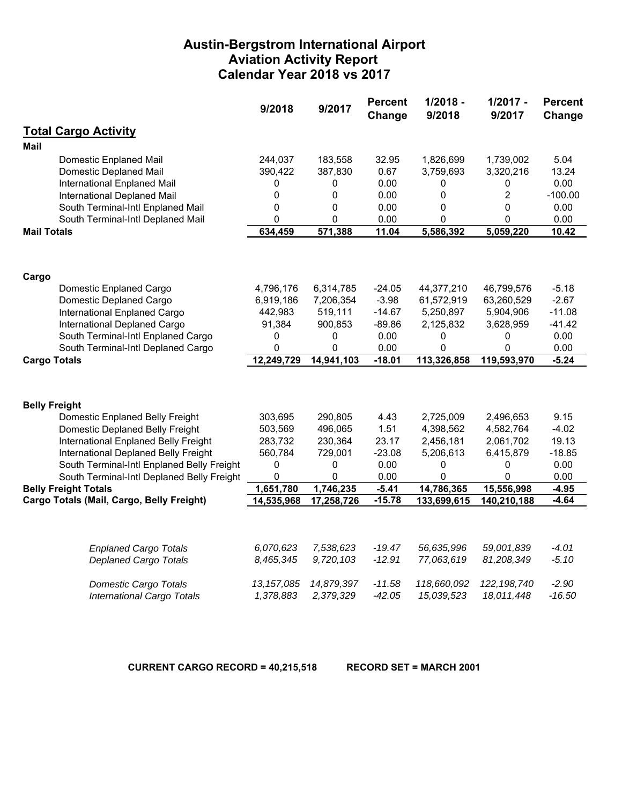#### **Austin-Bergstrom International Airport Aviation Activity Report Calendar Year 2018 vs 2017**

|                                            | 9/2018       | 9/2017     | <b>Percent</b><br>Change | $1/2018 -$<br>9/2018 | $1/2017 -$<br>9/2017 | <b>Percent</b><br>Change |
|--------------------------------------------|--------------|------------|--------------------------|----------------------|----------------------|--------------------------|
| <b>Total Cargo Activity</b>                |              |            |                          |                      |                      |                          |
| Mail                                       |              |            |                          |                      |                      |                          |
| Domestic Enplaned Mail                     | 244,037      | 183,558    | 32.95                    | 1,826,699            | 1,739,002            | 5.04                     |
| <b>Domestic Deplaned Mail</b>              | 390,422      | 387,830    | 0.67                     | 3,759,693            | 3,320,216            | 13.24                    |
| International Enplaned Mail                | 0            | 0          | 0.00                     | 0                    | 0                    | 0.00                     |
| International Deplaned Mail                | 0            | 0          | 0.00                     | 0                    | $\overline{2}$       | $-100.00$                |
| South Terminal-Intl Enplaned Mail          | 0            | 0          | 0.00                     | 0                    | $\mathbf 0$          | 0.00                     |
| South Terminal-Intl Deplaned Mail          | 0            | 0          | 0.00                     | 0                    | 0                    | 0.00                     |
| <b>Mail Totals</b>                         | 634,459      | 571,388    | 11.04                    | 5,586,392            | 5,059,220            | 10.42                    |
|                                            |              |            |                          |                      |                      |                          |
| Cargo                                      |              |            |                          |                      |                      |                          |
| Domestic Enplaned Cargo                    | 4,796,176    | 6,314,785  | $-24.05$                 | 44,377,210           | 46,799,576           | $-5.18$                  |
| Domestic Deplaned Cargo                    | 6,919,186    | 7,206,354  | $-3.98$                  | 61,572,919           | 63,260,529           | $-2.67$                  |
| International Enplaned Cargo               | 442,983      | 519,111    | $-14.67$                 | 5,250,897            | 5,904,906            | $-11.08$                 |
| International Deplaned Cargo               | 91,384       | 900,853    | $-89.86$                 | 2,125,832            | 3,628,959            | $-41.42$                 |
| South Terminal-Intl Enplaned Cargo         | 0            | 0          | 0.00                     | 0                    | 0                    | 0.00                     |
| South Terminal-Intl Deplaned Cargo         | 0            | 0          | 0.00                     | $\mathbf{0}$         | 0                    | 0.00                     |
| <b>Cargo Totals</b>                        | 12,249,729   | 14,941,103 | $-18.01$                 | 113,326,858          | 119,593,970          | $-5.24$                  |
|                                            |              |            |                          |                      |                      |                          |
| <b>Belly Freight</b>                       |              |            |                          |                      |                      |                          |
| Domestic Enplaned Belly Freight            | 303,695      | 290,805    | 4.43                     | 2,725,009            | 2,496,653            | 9.15                     |
| Domestic Deplaned Belly Freight            | 503,569      | 496,065    | 1.51                     | 4,398,562            | 4,582,764            | $-4.02$                  |
| International Enplaned Belly Freight       | 283,732      | 230,364    | 23.17                    | 2,456,181            | 2,061,702            | 19.13                    |
| International Deplaned Belly Freight       | 560,784      | 729,001    | $-23.08$                 | 5,206,613            | 6,415,879            | $-18.85$                 |
| South Terminal-Intl Enplaned Belly Freight | 0            | 0          | 0.00                     | 0                    | 0                    | 0.00                     |
| South Terminal-Intl Deplaned Belly Freight | 0            | 0          | 0.00                     | 0                    | $\mathbf{0}$         | 0.00                     |
| <b>Belly Freight Totals</b>                | 1,651,780    | 1,746,235  | $-5.41$                  | 14,786,365           | 15,556,998           | $-4.95$                  |
| Cargo Totals (Mail, Cargo, Belly Freight)  | 14,535,968   | 17,258,726 | $-15.78$                 | 133,699,615          | 140,210,188          | $-4.64$                  |
|                                            |              |            |                          |                      |                      |                          |
| <b>Enplaned Cargo Totals</b>               | 6,070,623    | 7,538,623  | $-19.47$                 | 56,635,996           | 59,001,839           | $-4.01$                  |
| <b>Deplaned Cargo Totals</b>               | 8,465,345    | 9,720,103  | $-12.91$                 | 77,063,619           | 81,208,349           | $-5.10$                  |
| <b>Domestic Cargo Totals</b>               | 13, 157, 085 | 14,879,397 | $-11.58$                 | 118,660,092          | 122, 198, 740        | $-2.90$                  |
| <b>International Cargo Totals</b>          | 1,378,883    | 2,379,329  | $-42.05$                 | 15,039,523           | 18,011,448           | $-16.50$                 |

**CURRENT CARGO RECORD = 40,215,518 RECORD SET = MARCH 2001**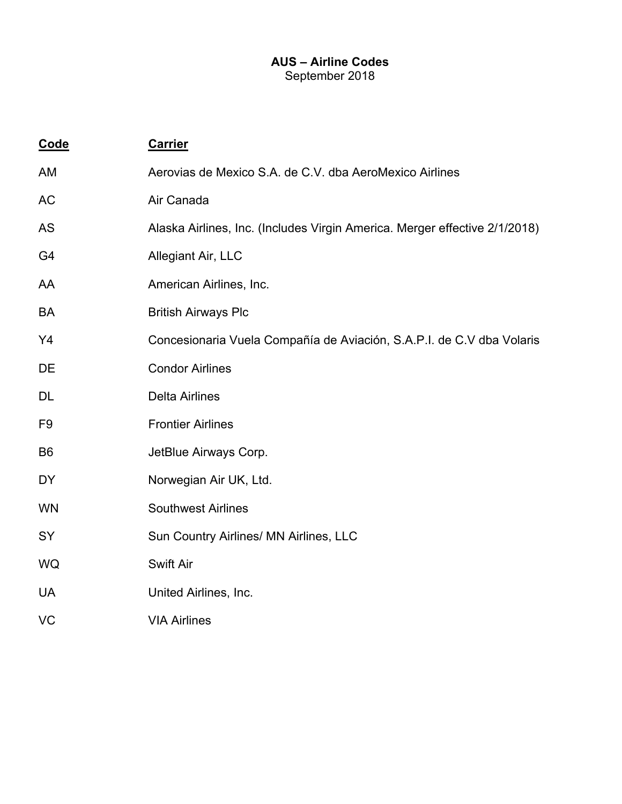#### **AUS – Airline Codes**  September 2018

| Code           | <b>Carrier</b>                                                             |
|----------------|----------------------------------------------------------------------------|
| AM             | Aerovias de Mexico S.A. de C.V. dba AeroMexico Airlines                    |
| AC             | Air Canada                                                                 |
| <b>AS</b>      | Alaska Airlines, Inc. (Includes Virgin America. Merger effective 2/1/2018) |
| G <sub>4</sub> | Allegiant Air, LLC                                                         |
| AA             | American Airlines, Inc.                                                    |
| <b>BA</b>      | <b>British Airways Plc</b>                                                 |
| Y4             | Concesionaria Vuela Compañía de Aviación, S.A.P.I. de C.V dba Volaris      |
| DE             | <b>Condor Airlines</b>                                                     |
| <b>DL</b>      | <b>Delta Airlines</b>                                                      |
| F <sub>9</sub> | <b>Frontier Airlines</b>                                                   |
| B <sub>6</sub> | JetBlue Airways Corp.                                                      |
| <b>DY</b>      | Norwegian Air UK, Ltd.                                                     |
| <b>WN</b>      | <b>Southwest Airlines</b>                                                  |
| SY             | Sun Country Airlines/ MN Airlines, LLC                                     |
| WQ             | <b>Swift Air</b>                                                           |
| <b>UA</b>      | United Airlines, Inc.                                                      |
| VC             | <b>VIA Airlines</b>                                                        |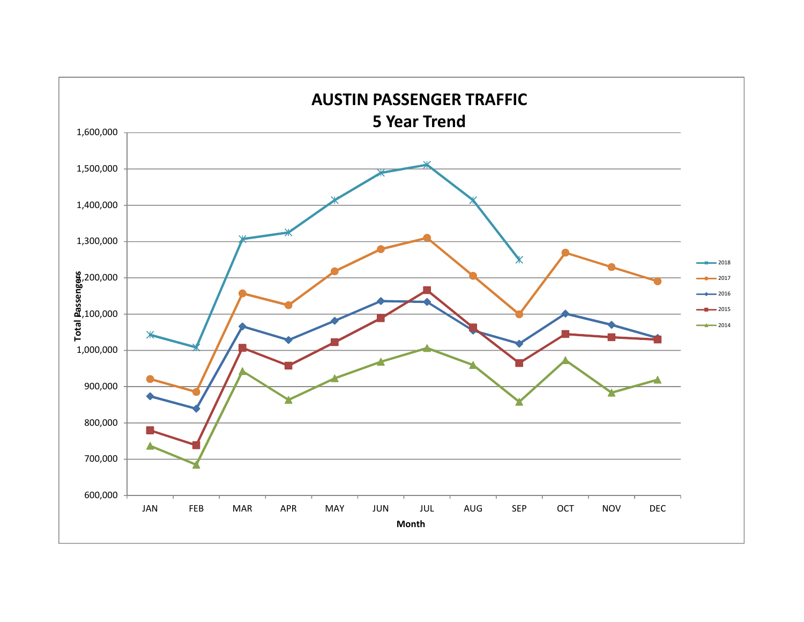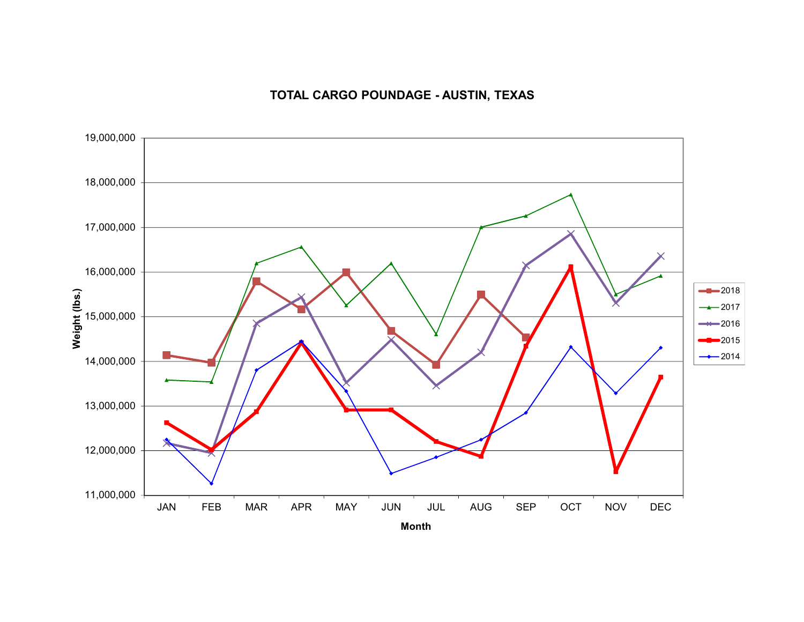# **TOTAL CARGO POUNDAGE - AUSTIN, TEXAS**

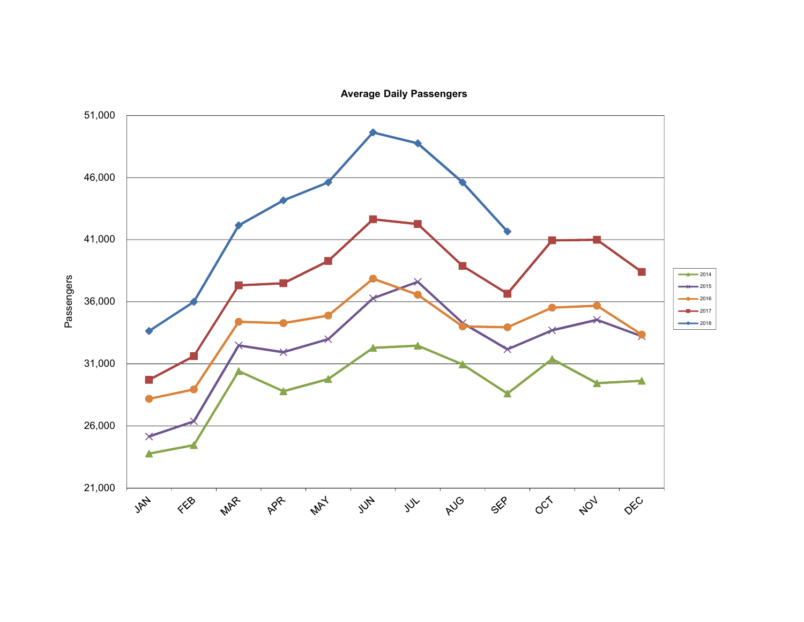**Average Daily Passengers**

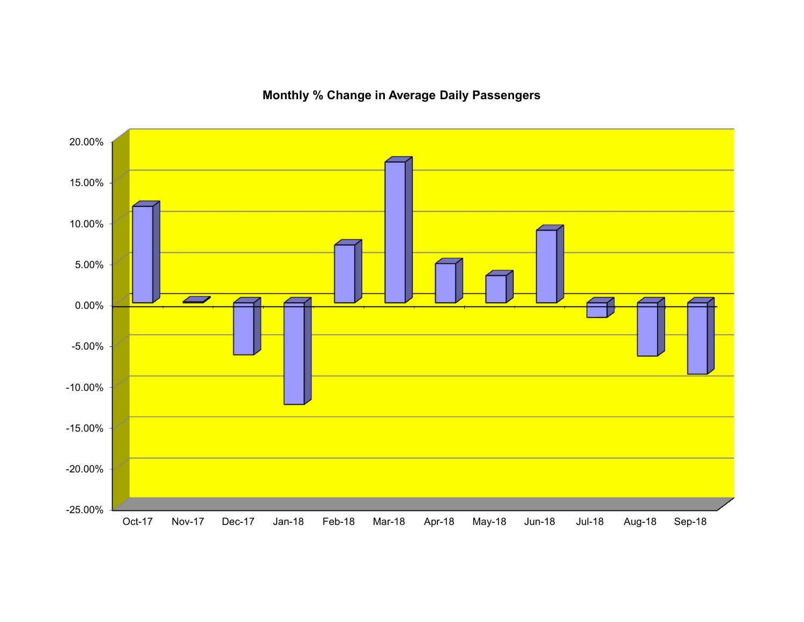

**Monthly % Change in Average Daily Passengers**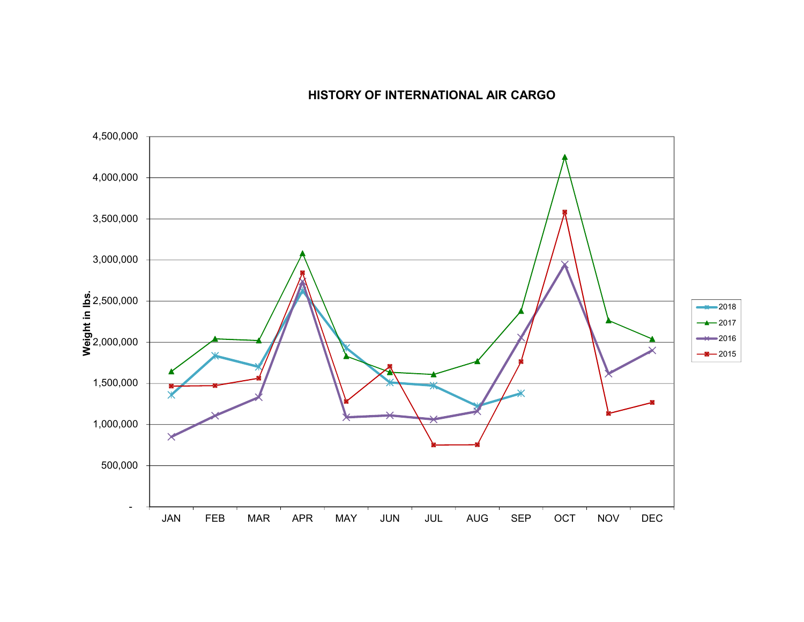## **HISTORY OF INTERNATIONAL AIR CARGO**

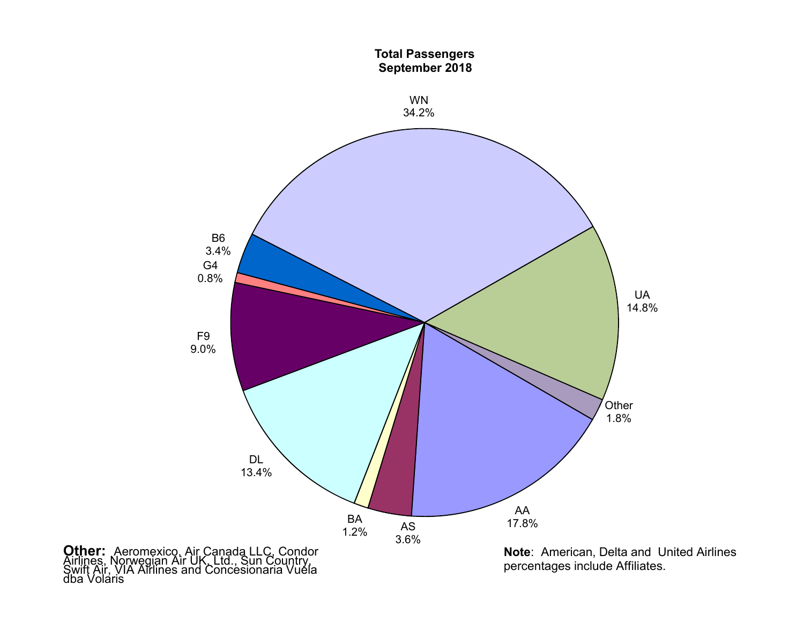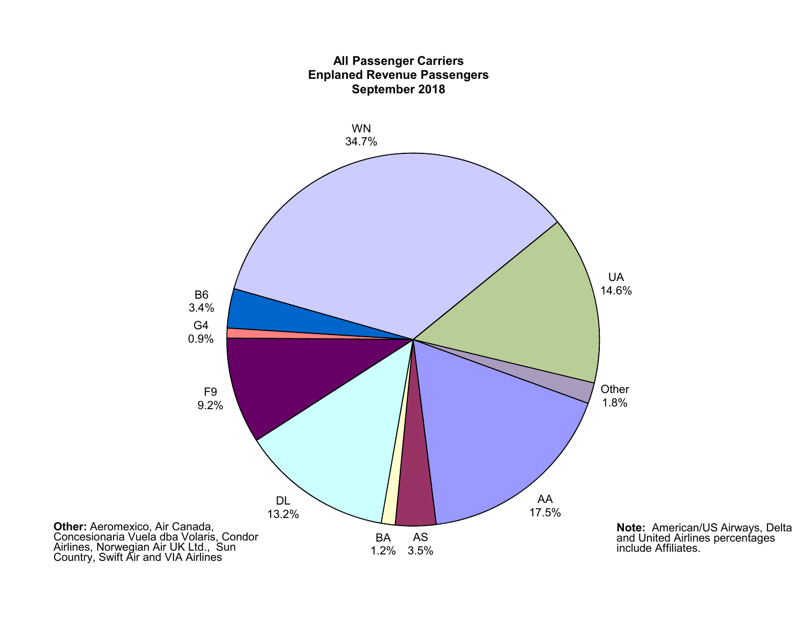

**Note:** American/US Airways, Delta<br>and United Airlines percentages<br>include Affiliates.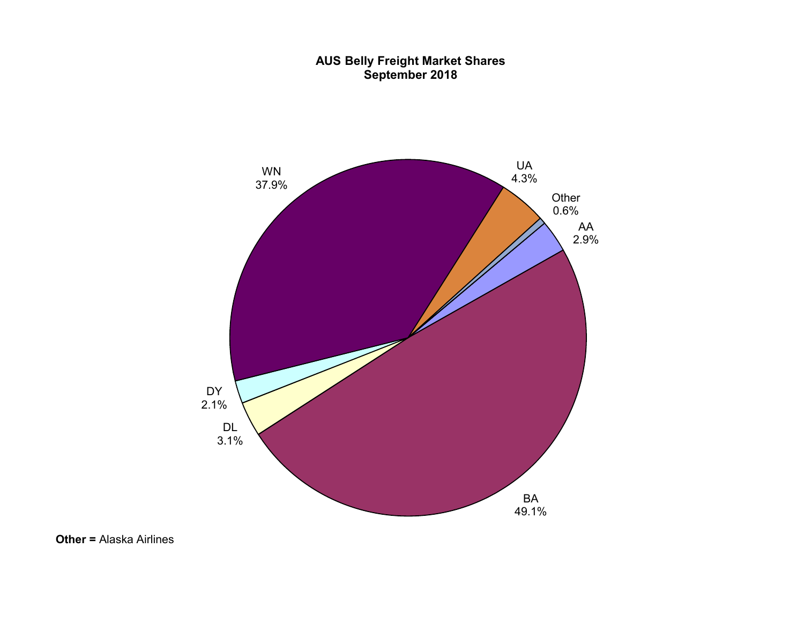#### **AUS Belly Freight Market Shares September 2018**

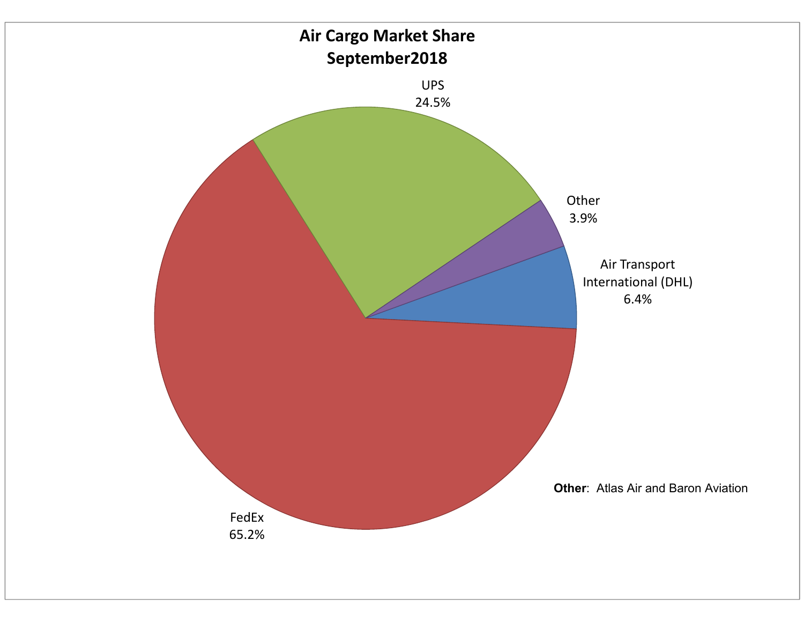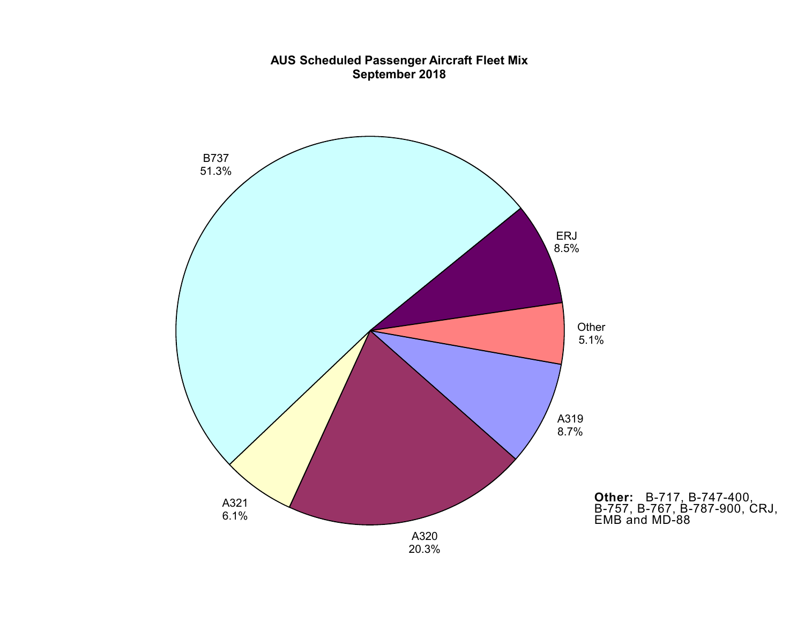

#### **AUS Scheduled Passenger Aircraft Fleet Mix September 2018**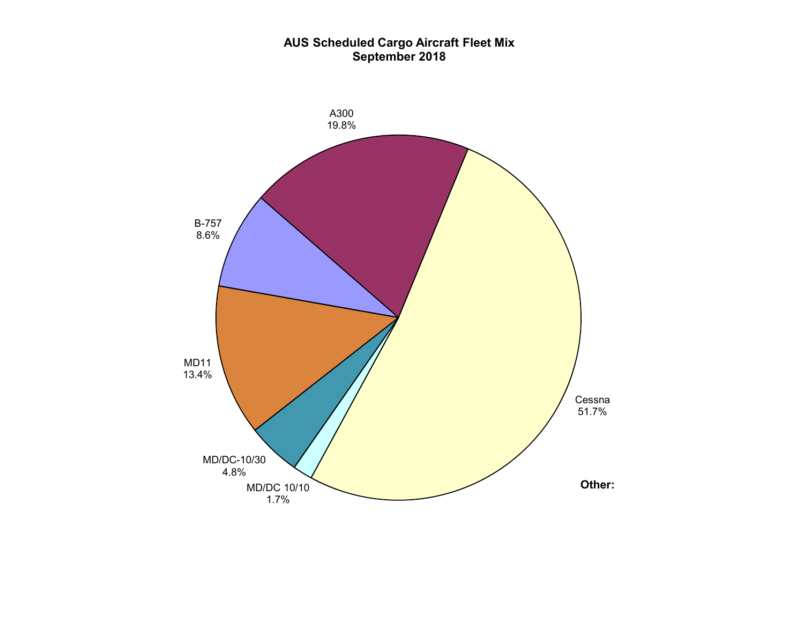#### **AUS Scheduled Cargo Aircraft Fleet Mix September 2018**

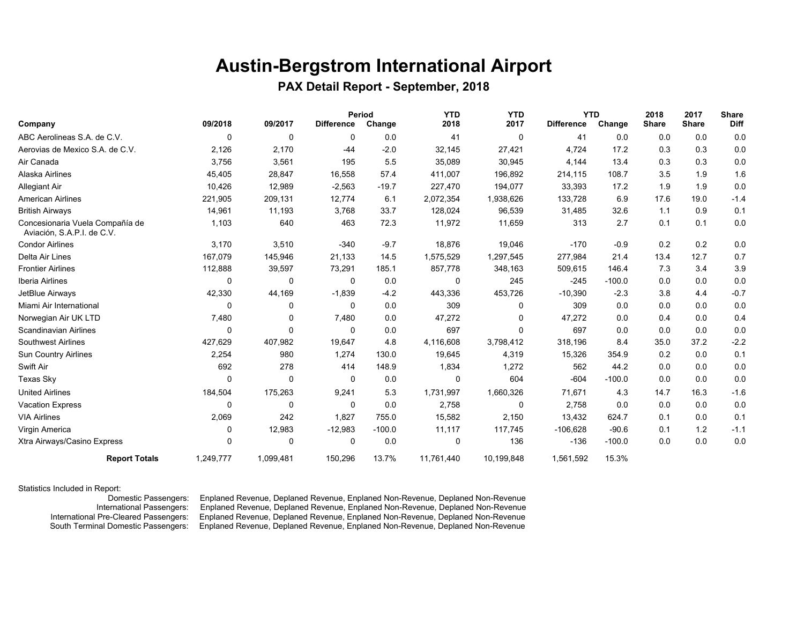# **Austin-Bergstrom International Airport**

#### **PAX Detail Report - September, 2018**

|                                                               |           |              |                   | Period   | <b>YTD</b> | <b>YTD</b> | <b>YTD</b>        |          | 2018         | 2017         | <b>Share</b> |
|---------------------------------------------------------------|-----------|--------------|-------------------|----------|------------|------------|-------------------|----------|--------------|--------------|--------------|
| Company                                                       | 09/2018   | 09/2017      | <b>Difference</b> | Change   | 2018       | 2017       | <b>Difference</b> | Change   | <b>Share</b> | <b>Share</b> | <b>Diff</b>  |
| ABC Aerolineas S.A. de C.V.                                   | 0         | 0            | 0                 | 0.0      | 41         | 0          | 41                | 0.0      | 0.0          | 0.0          | 0.0          |
| Aerovias de Mexico S.A. de C.V.                               | 2,126     | 2,170        | $-44$             | $-2.0$   | 32,145     | 27,421     | 4,724             | 17.2     | 0.3          | 0.3          | 0.0          |
| Air Canada                                                    | 3,756     | 3,561        | 195               | 5.5      | 35,089     | 30,945     | 4,144             | 13.4     | 0.3          | 0.3          | 0.0          |
| Alaska Airlines                                               | 45,405    | 28,847       | 16,558            | 57.4     | 411,007    | 196,892    | 214,115           | 108.7    | 3.5          | 1.9          | 1.6          |
| <b>Allegiant Air</b>                                          | 10,426    | 12,989       | $-2,563$          | $-19.7$  | 227,470    | 194,077    | 33,393            | 17.2     | 1.9          | 1.9          | 0.0          |
| <b>American Airlines</b>                                      | 221,905   | 209,131      | 12,774            | 6.1      | 2,072,354  | 1,938,626  | 133,728           | 6.9      | 17.6         | 19.0         | $-1.4$       |
| <b>British Airways</b>                                        | 14,961    | 11,193       | 3,768             | 33.7     | 128,024    | 96,539     | 31,485            | 32.6     | 1.1          | 0.9          | 0.1          |
| Concesionaria Vuela Compañía de<br>Aviación, S.A.P.I. de C.V. | 1,103     | 640          | 463               | 72.3     | 11,972     | 11,659     | 313               | 2.7      | 0.1          | 0.1          | 0.0          |
| <b>Condor Airlines</b>                                        | 3,170     | 3,510        | $-340$            | $-9.7$   | 18,876     | 19,046     | $-170$            | $-0.9$   | 0.2          | 0.2          | 0.0          |
| Delta Air Lines                                               | 167,079   | 145,946      | 21,133            | 14.5     | 1,575,529  | 1,297,545  | 277,984           | 21.4     | 13.4         | 12.7         | 0.7          |
| <b>Frontier Airlines</b>                                      | 112,888   | 39,597       | 73,291            | 185.1    | 857,778    | 348,163    | 509,615           | 146.4    | 7.3          | 3.4          | 3.9          |
| Iberia Airlines                                               | 0         | 0            | 0                 | 0.0      | 0          | 245        | $-245$            | $-100.0$ | 0.0          | 0.0          | 0.0          |
| JetBlue Airways                                               | 42,330    | 44,169       | $-1,839$          | $-4.2$   | 443,336    | 453,726    | $-10,390$         | $-2.3$   | 3.8          | 4.4          | $-0.7$       |
| Miami Air International                                       | $\Omega$  | $\mathbf{0}$ | $\Omega$          | 0.0      | 309        | $\Omega$   | 309               | 0.0      | 0.0          | 0.0          | 0.0          |
| Norwegian Air UK LTD                                          | 7,480     | 0            | 7,480             | 0.0      | 47,272     | $\Omega$   | 47,272            | 0.0      | 0.4          | 0.0          | 0.4          |
| Scandinavian Airlines                                         | 0         | 0            | 0                 | 0.0      | 697        | $\Omega$   | 697               | 0.0      | 0.0          | 0.0          | 0.0          |
| <b>Southwest Airlines</b>                                     | 427,629   | 407,982      | 19,647            | 4.8      | 4,116,608  | 3,798,412  | 318,196           | 8.4      | 35.0         | 37.2         | $-2.2$       |
| <b>Sun Country Airlines</b>                                   | 2,254     | 980          | 1,274             | 130.0    | 19,645     | 4,319      | 15,326            | 354.9    | 0.2          | 0.0          | 0.1          |
| Swift Air                                                     | 692       | 278          | 414               | 148.9    | 1,834      | 1,272      | 562               | 44.2     | 0.0          | 0.0          | 0.0          |
| Texas Sky                                                     | 0         | $\mathbf{0}$ | 0                 | 0.0      | $\Omega$   | 604        | $-604$            | $-100.0$ | 0.0          | 0.0          | 0.0          |
| <b>United Airlines</b>                                        | 184,504   | 175,263      | 9,241             | 5.3      | 1,731,997  | 1,660,326  | 71,671            | 4.3      | 14.7         | 16.3         | $-1.6$       |
| <b>Vacation Express</b>                                       | 0         | $\mathbf{0}$ | 0                 | 0.0      | 2,758      | 0          | 2,758             | 0.0      | 0.0          | 0.0          | 0.0          |
| <b>VIA Airlines</b>                                           | 2,069     | 242          | 1,827             | 755.0    | 15,582     | 2,150      | 13,432            | 624.7    | 0.1          | 0.0          | 0.1          |
| Virgin America                                                | 0         | 12,983       | $-12,983$         | $-100.0$ | 11,117     | 117,745    | $-106,628$        | $-90.6$  | 0.1          | 1.2          | $-1.1$       |
| Xtra Airways/Casino Express                                   | $\Omega$  | $\mathbf{0}$ | 0                 | 0.0      | 0          | 136        | $-136$            | $-100.0$ | 0.0          | 0.0          | 0.0          |
| <b>Report Totals</b>                                          | 1,249,777 | 1,099,481    | 150,296           | 13.7%    | 11,761,440 | 10,199,848 | 1,561,592         | 15.3%    |              |              |              |

#### Statistics Included in Report:

 Domestic Passengers: Enplaned Revenue, Deplaned Revenue, Enplaned Non-Revenue, Deplaned Non-Revenue Enplaned Revenue, Deplaned Revenue, Enplaned Non-Revenue, Deplaned Non-Revenue International Pre-Cleared Passengers: Enplaned Revenue, Deplaned Revenue, Enplaned Non-Revenue, Deplaned Non-Revenue South Terminal Domestic Passengers: Enplaned Revenue, Deplaned Revenue, Enplaned Non-Revenue, Deplaned Non-Revenue